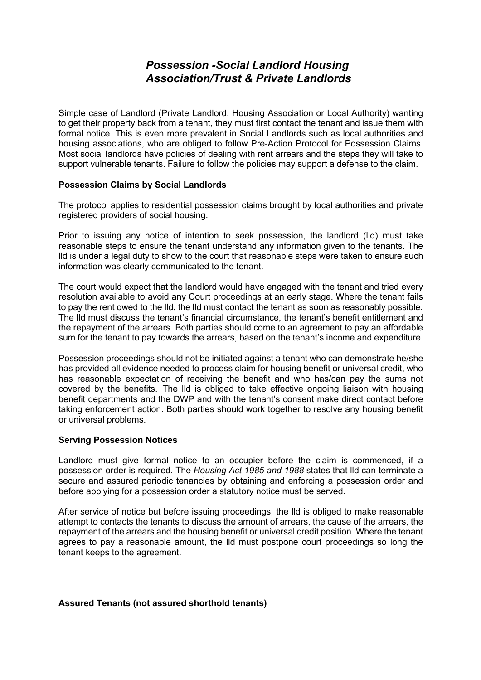# *Possession -Social Landlord Housing Association/Trust & Private Landlords*

Simple case of Landlord (Private Landlord, Housing Association or Local Authority) wanting to get their property back from a tenant, they must first contact the tenant and issue them with formal notice. This is even more prevalent in Social Landlords such as local authorities and housing associations, who are obliged to follow Pre-Action Protocol for Possession Claims. Most social landlords have policies of dealing with rent arrears and the steps they will take to support vulnerable tenants. Failure to follow the policies may support a defense to the claim.

#### **Possession Claims by Social Landlords**

The protocol applies to residential possession claims brought by local authorities and private registered providers of social housing.

Prior to issuing any notice of intention to seek possession, the landlord (lld) must take reasonable steps to ensure the tenant understand any information given to the tenants. The lld is under a legal duty to show to the court that reasonable steps were taken to ensure such information was clearly communicated to the tenant.

The court would expect that the landlord would have engaged with the tenant and tried every resolution available to avoid any Court proceedings at an early stage. Where the tenant fails to pay the rent owed to the lld, the lld must contact the tenant as soon as reasonably possible. The lld must discuss the tenant's financial circumstance, the tenant's benefit entitlement and the repayment of the arrears. Both parties should come to an agreement to pay an affordable sum for the tenant to pay towards the arrears, based on the tenant's income and expenditure.

Possession proceedings should not be initiated against a tenant who can demonstrate he/she has provided all evidence needed to process claim for housing benefit or universal credit, who has reasonable expectation of receiving the benefit and who has/can pay the sums not covered by the benefits. The lld is obliged to take effective ongoing liaison with housing benefit departments and the DWP and with the tenant's consent make direct contact before taking enforcement action. Both parties should work together to resolve any housing benefit or universal problems.

# **Serving Possession Notices**

Landlord must give formal notice to an occupier before the claim is commenced, if a possession order is required. The *Housing Act 1985 and 1988* states that lld can terminate a secure and assured periodic tenancies by obtaining and enforcing a possession order and before applying for a possession order a statutory notice must be served.

After service of notice but before issuing proceedings, the lld is obliged to make reasonable attempt to contacts the tenants to discuss the amount of arrears, the cause of the arrears, the repayment of the arrears and the housing benefit or universal credit position. Where the tenant agrees to pay a reasonable amount, the lld must postpone court proceedings so long the tenant keeps to the agreement.

#### **Assured Tenants (not assured shorthold tenants)**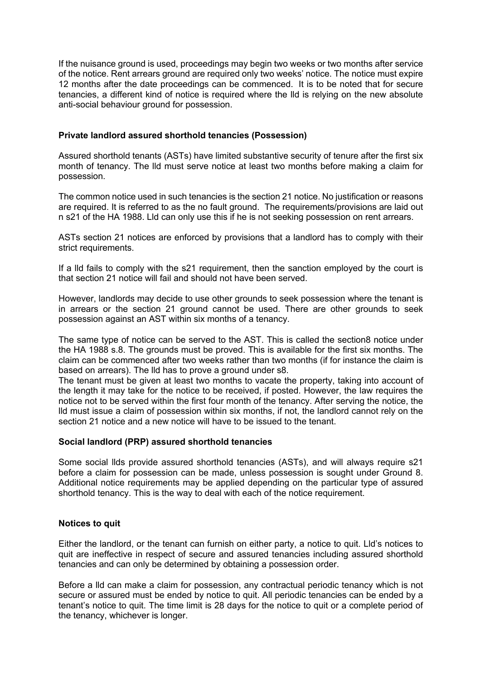If the nuisance ground is used, proceedings may begin two weeks or two months after service of the notice. Rent arrears ground are required only two weeks' notice. The notice must expire 12 months after the date proceedings can be commenced. It is to be noted that for secure tenancies, a different kind of notice is required where the lld is relying on the new absolute anti-social behaviour ground for possession.

# **Private landlord assured shorthold tenancies (Possession)**

Assured shorthold tenants (ASTs) have limited substantive security of tenure after the first six month of tenancy. The lld must serve notice at least two months before making a claim for possession.

The common notice used in such tenancies is the section 21 notice. No justification or reasons are required. It is referred to as the no fault ground. The requirements/provisions are laid out n s21 of the HA 1988. Lld can only use this if he is not seeking possession on rent arrears.

ASTs section 21 notices are enforced by provisions that a landlord has to comply with their strict requirements.

If a lld fails to comply with the s21 requirement, then the sanction employed by the court is that section 21 notice will fail and should not have been served.

However, landlords may decide to use other grounds to seek possession where the tenant is in arrears or the section 21 ground cannot be used. There are other grounds to seek possession against an AST within six months of a tenancy.

The same type of notice can be served to the AST. This is called the section8 notice under the HA 1988 s.8. The grounds must be proved. This is available for the first six months. The claim can be commenced after two weeks rather than two months (if for instance the claim is based on arrears). The lld has to prove a ground under s8.

The tenant must be given at least two months to vacate the property, taking into account of the length it may take for the notice to be received, if posted. However, the law requires the notice not to be served within the first four month of the tenancy. After serving the notice, the lld must issue a claim of possession within six months, if not, the landlord cannot rely on the section 21 notice and a new notice will have to be issued to the tenant.

# **Social landlord (PRP) assured shorthold tenancies**

Some social llds provide assured shorthold tenancies (ASTs), and will always require s21 before a claim for possession can be made, unless possession is sought under Ground 8. Additional notice requirements may be applied depending on the particular type of assured shorthold tenancy. This is the way to deal with each of the notice requirement.

# **Notices to quit**

Either the landlord, or the tenant can furnish on either party, a notice to quit. Lld's notices to quit are ineffective in respect of secure and assured tenancies including assured shorthold tenancies and can only be determined by obtaining a possession order.

Before a lld can make a claim for possession, any contractual periodic tenancy which is not secure or assured must be ended by notice to quit. All periodic tenancies can be ended by a tenant's notice to quit. The time limit is 28 days for the notice to quit or a complete period of the tenancy, whichever is longer.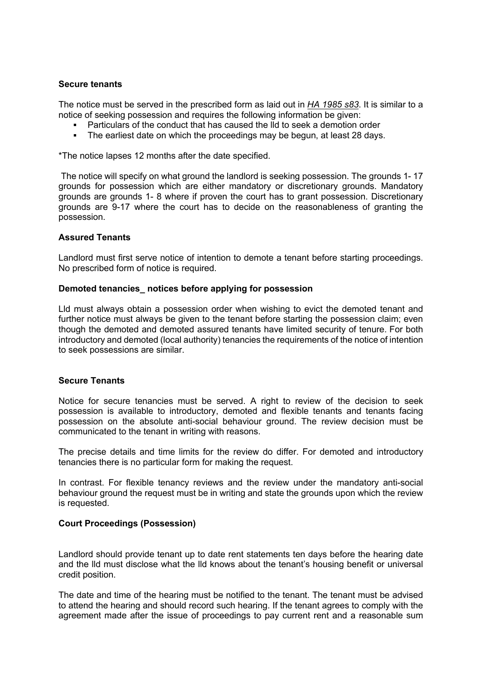# **Secure tenants**

The notice must be served in the prescribed form as laid out in *HA 1985 s83*. It is similar to a notice of seeking possession and requires the following information be given:

- Particulars of the conduct that has caused the lld to seek a demotion order
- The earliest date on which the proceedings may be begun, at least 28 days.

\*The notice lapses 12 months after the date specified.

The notice will specify on what ground the landlord is seeking possession. The grounds 1- 17 grounds for possession which are either mandatory or discretionary grounds. Mandatory grounds are grounds 1- 8 where if proven the court has to grant possession. Discretionary grounds are 9-17 where the court has to decide on the reasonableness of granting the possession.

#### **Assured Tenants**

Landlord must first serve notice of intention to demote a tenant before starting proceedings. No prescribed form of notice is required.

#### **Demoted tenancies\_ notices before applying for possession**

Lld must always obtain a possession order when wishing to evict the demoted tenant and further notice must always be given to the tenant before starting the possession claim; even though the demoted and demoted assured tenants have limited security of tenure. For both introductory and demoted (local authority) tenancies the requirements of the notice of intention to seek possessions are similar.

#### **Secure Tenants**

Notice for secure tenancies must be served. A right to review of the decision to seek possession is available to introductory, demoted and flexible tenants and tenants facing possession on the absolute anti-social behaviour ground. The review decision must be communicated to the tenant in writing with reasons.

The precise details and time limits for the review do differ. For demoted and introductory tenancies there is no particular form for making the request.

In contrast. For flexible tenancy reviews and the review under the mandatory anti-social behaviour ground the request must be in writing and state the grounds upon which the review is requested.

#### **Court Proceedings (Possession)**

Landlord should provide tenant up to date rent statements ten days before the hearing date and the lld must disclose what the lld knows about the tenant's housing benefit or universal credit position.

The date and time of the hearing must be notified to the tenant. The tenant must be advised to attend the hearing and should record such hearing. If the tenant agrees to comply with the agreement made after the issue of proceedings to pay current rent and a reasonable sum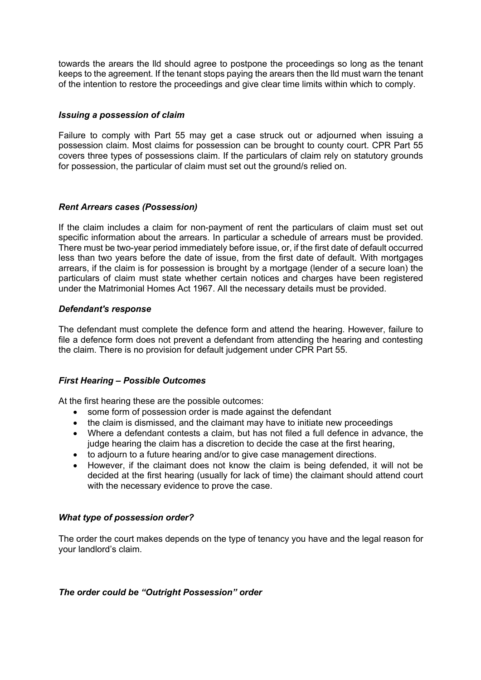towards the arears the lld should agree to postpone the proceedings so long as the tenant keeps to the agreement. If the tenant stops paying the arears then the lld must warn the tenant of the intention to restore the proceedings and give clear time limits within which to comply.

# *Issuing a possession of claim*

Failure to comply with Part 55 may get a case struck out or adjourned when issuing a possession claim. Most claims for possession can be brought to county court. CPR Part 55 covers three types of possessions claim. If the particulars of claim rely on statutory grounds for possession, the particular of claim must set out the ground/s relied on.

#### *Rent Arrears cases (Possession)*

If the claim includes a claim for non-payment of rent the particulars of claim must set out specific information about the arrears. In particular a schedule of arrears must be provided. There must be two-year period immediately before issue, or, if the first date of default occurred less than two years before the date of issue, from the first date of default. With mortgages arrears, if the claim is for possession is brought by a mortgage (lender of a secure loan) the particulars of claim must state whether certain notices and charges have been registered under the Matrimonial Homes Act 1967. All the necessary details must be provided.

#### *Defendant's response*

The defendant must complete the defence form and attend the hearing. However, failure to file a defence form does not prevent a defendant from attending the hearing and contesting the claim. There is no provision for default judgement under CPR Part 55.

# *First Hearing – Possible Outcomes*

At the first hearing these are the possible outcomes:

- some form of possession order is made against the defendant
- the claim is dismissed, and the claimant may have to initiate new proceedings
- Where a defendant contests a claim, but has not filed a full defence in advance, the judge hearing the claim has a discretion to decide the case at the first hearing,
- to adjourn to a future hearing and/or to give case management directions.
- However, if the claimant does not know the claim is being defended, it will not be decided at the first hearing (usually for lack of time) the claimant should attend court with the necessary evidence to prove the case.

# *What type of possession order?*

The order the court makes depends on the type of tenancy you have and the legal reason for your landlord's claim.

# *The order could be "Outright Possession" order*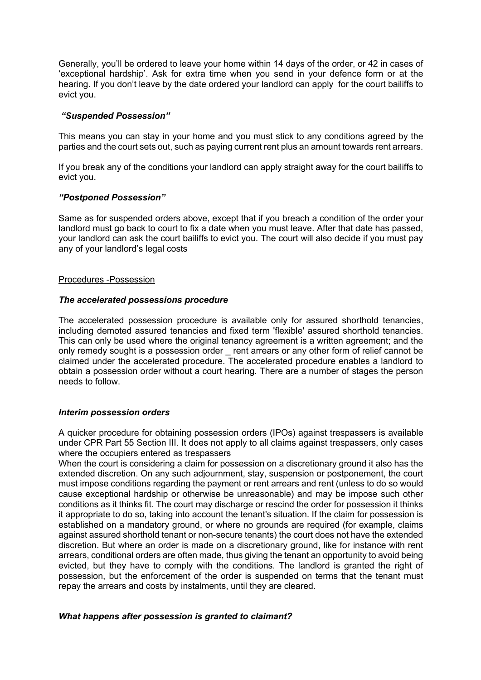Generally, you'll be ordered to leave your home within 14 days of the order, or 42 in cases of 'exceptional hardship'. Ask for extra time when you send in your defence form or at the hearing. If you don't leave by the date ordered your landlord can apply for the court bailiffs to evict you.

#### *"Suspended Possession"*

This means you can stay in your home and you must stick to any conditions agreed by the parties and the court sets out, such as paying current rent plus an amount towards rent arrears.

If you break any of the conditions your landlord can apply straight away for the court bailiffs to evict you.

#### *"Postponed Possession"*

Same as for suspended orders above, except that if you breach a condition of the order your landlord must go back to court to fix a date when you must leave. After that date has passed, your landlord can ask the court bailiffs to evict you. The court will also decide if you must pay any of your landlord's legal costs

#### Procedures -Possession

#### *The accelerated possessions procedure*

The accelerated possession procedure is available only for assured shorthold tenancies, including demoted assured tenancies and fixed term 'flexible' assured shorthold tenancies. This can only be used where the original tenancy agreement is a written agreement; and the only remedy sought is a possession order rent arrears or any other form of relief cannot be claimed under the accelerated procedure. The accelerated procedure enables a landlord to obtain a possession order without a court hearing. There are a number of stages the person needs to follow.

#### *Interim possession orders*

A quicker procedure for obtaining possession orders (IPOs) against trespassers is available under CPR Part 55 Section III. It does not apply to all claims against trespassers, only cases where the occupiers entered as trespassers

When the court is considering a claim for possession on a discretionary ground it also has the extended discretion. On any such adjournment, stay, suspension or postponement, the court must impose conditions regarding the payment or rent arrears and rent (unless to do so would cause exceptional hardship or otherwise be unreasonable) and may be impose such other conditions as it thinks fit. The court may discharge or rescind the order for possession it thinks it appropriate to do so, taking into account the tenant's situation. If the claim for possession is established on a mandatory ground, or where no grounds are required (for example, claims against assured shorthold tenant or non-secure tenants) the court does not have the extended discretion. But where an order is made on a discretionary ground, like for instance with rent arrears, conditional orders are often made, thus giving the tenant an opportunity to avoid being evicted, but they have to comply with the conditions. The landlord is granted the right of possession, but the enforcement of the order is suspended on terms that the tenant must repay the arrears and costs by instalments, until they are cleared.

# *What happens after possession is granted to claimant?*